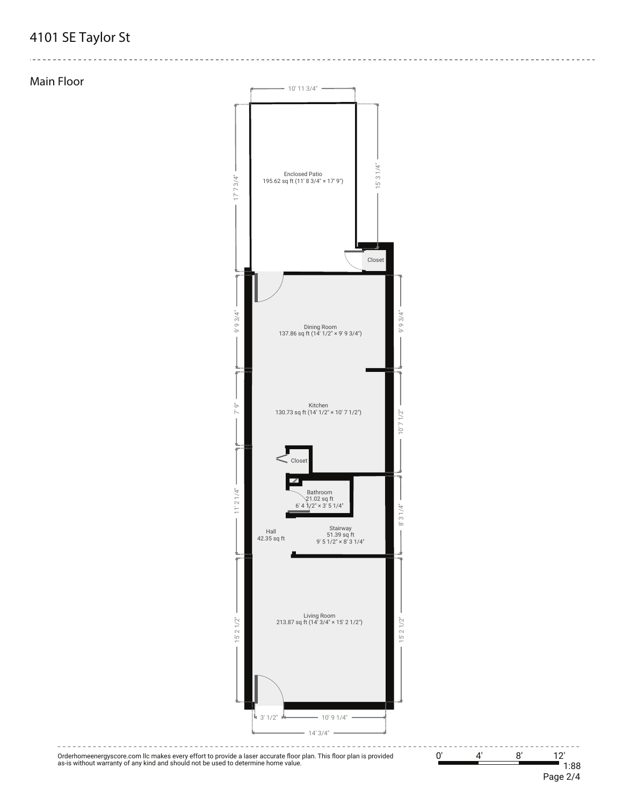## **4101 SE Taylor St**

**Main Floor**



--------------------------

Orderhomeenergyscore.com llc makes every effort to provide a laser accurate floor plan. This floor plan is provided as-is without warranty of any kind and should not be used to determine home value.

0' 4' 8' 12' 1:88 Page 2/4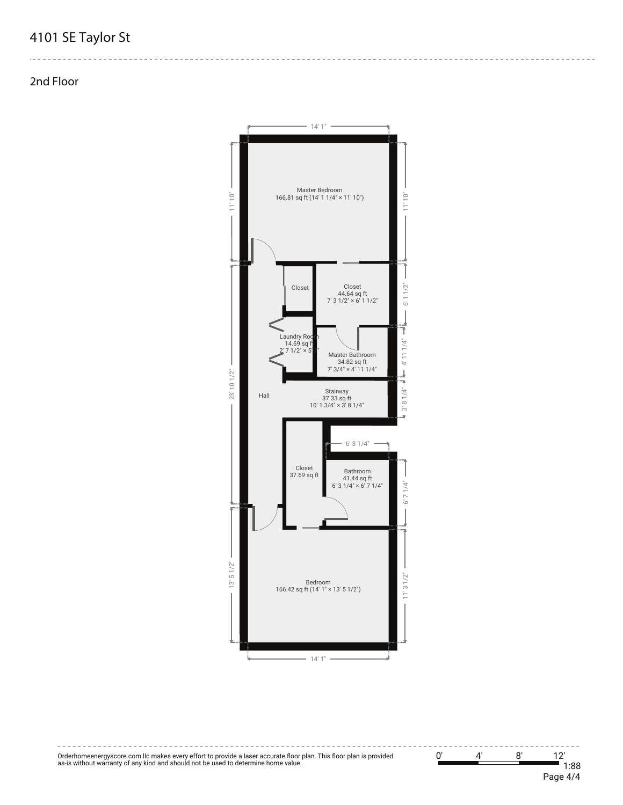## **4101 SE Taylor St**

**2nd Floor**



-----------------------

Orderhomeenergyscore.com llc makes every effort to provide a laser accurate floor plan. This floor plan is provided as-is without warranty of any kind and should not be used to determine home value.

0' 4' 8' 12' 1:88 Page 4/4